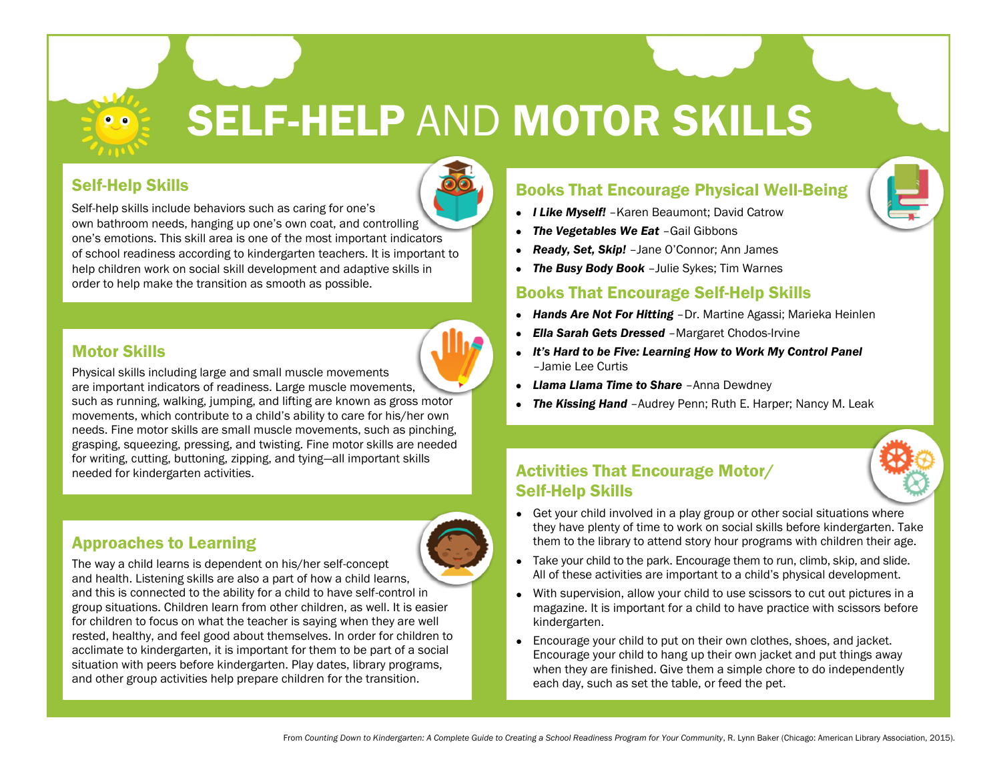# SELF-HELP AND MOTOR SKILLS

#### Self-Help Skills

 $\bullet$   $\bullet$ 

Self-help skills include behaviors such as caring for one's own bathroom needs, hanging up one's own coat, and controlling one's emotions. This skill area is one of the most important indicators of school readiness according to kindergarten teachers. It is important to help children work on social skill development and adaptive skills in order to help make the transition as smooth as possible.

# Motor Skills

Physical skills including large and small muscle movements are important indicators of readiness. Large muscle movements, such as running, walking, jumping, and lifting are known as gross motor movements, which contribute to a child's ability to care for his/her own needs. Fine motor skills are small muscle movements, such as pinching, grasping, squeezing, pressing, and twisting. Fine motor skills are needed for writing, cutting, buttoning, zipping, and tying—all important skills needed for kindergarten activities.

# Approaches to Learning

The way a child learns is dependent on his/her self-concept and health. Listening skills are also a part of how a child learns, and this is connected to the ability for a child to have self-control in group situations. Children learn from other children, as well. It is easier for children to focus on what the teacher is saying when they are well rested, healthy, and feel good about themselves. In order for children to acclimate to kindergarten, it is important for them to be part of a social situation with peers before kindergarten. Play dates, library programs, and other group activities help prepare children for the transition.

# Books That Encourage Physical Well-Being

- *I Like Myself!* –Karen Beaumont; David Catrow
- *The Vegetables We Eat* –Gail Gibbons
- *Ready, Set, Skip!* –Jane O'Connor; Ann James
- **The Busy Body Book** Julie Sykes; Tim Warnes

### Books That Encourage Self-Help Skills

- *Hands Are Not For Hitting* –Dr. Martine Agassi; Marieka Heinlen
- *Ella Sarah Gets Dressed* –Margaret Chodos-Irvine
- *It's Hard to be Five: Learning How to Work My Control Panel*  –Jamie Lee Curtis
- *Llama Llama Time to Share* –Anna Dewdney
- *The Kissing Hand -Audrey Penn; Ruth E. Harper; Nancy M. Leak*

# Activities That Encourage Motor/ Self-Help Skills

- Get your child involved in a play group or other social situations where they have plenty of time to work on social skills before kindergarten. Take them to the library to attend story hour programs with children their age.
- Take your child to the park. Encourage them to run, climb, skip, and slide. All of these activities are important to a child's physical development.
- With supervision, allow your child to use scissors to cut out pictures in a magazine. It is important for a child to have practice with scissors before kindergarten.
- Encourage your child to put on their own clothes, shoes, and jacket. Encourage your child to hang up their own jacket and put things away when they are finished. Give them a simple chore to do independently each day, such as set the table, or feed the pet.